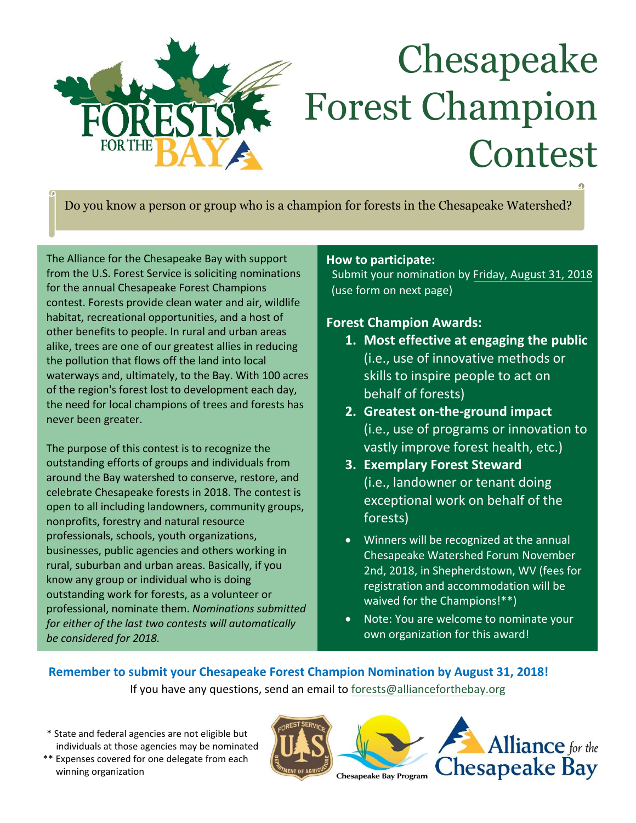

# Chesapeake Forest Champion Contest

Do you know a person or group who is a champion for forests in the Chesapeake Watershed?

The Alliance for the Chesapeake Bay with support from the U.S. Forest Service is soliciting nominations for the annual Chesapeake Forest Champions contest. Forests provide clean water and air, wildlife habitat, recreational opportunities, and a host of other benefits to people. In rural and urban areas alike, trees are one of our greatest allies in reducing the pollution that flows off the land into local waterways and, ultimately, to the Bay. With 100 acres of the region's forest lost to development each day, the need for local champions of trees and forests has never been greater.

The purpose of this contest is to recognize the outstanding efforts of groups and individuals from around the Bay watershed to conserve, restore, and celebrate Chesapeake forests in 2018. The contest is open to all including landowners, community groups, nonprofits, forestry and natural resource professionals, schools, youth organizations, businesses, public agencies and others working in rural, suburban and urban areas. Basically, if you know any group or individual who is doing outstanding work for forests, as a volunteer or professional, nominate them. *Nominations submitted for either of the last two contests will automatically be considered for 2018.*

#### **How to participate:**

Submit your nomination by Friday, August 31, 2018 (use form on next page)

#### **Forest Champion Awards:**

- **1. Most effective at engaging the public** (i.e., use of innovative methods or skills to inspire people to act on behalf of forests)
- **2. Greatest on-the-ground impact** (i.e., use of programs or innovation to vastly improve forest health, etc.)
- **3. Exemplary Forest Steward** (i.e., landowner or tenant doing exceptional work on behalf of the forests)
- Winners will be recognized at the annual Chesapeake Watershed Forum November 2nd, 2018, in Shepherdstown, WV (fees for registration and accommodation will be waived for the Champions!\*\*)
- Note: You are welcome to nominate your own organization for this award!

#### **Remember to submit your Chesapeake Forest Champion Nomination by August 31, 2018!** If you have any questions, send an email to [forests@allianceforthebay.org](mailto:Chesapeake.IYOF@gmail.com)

- \* State and federal agencies are not eligible but individuals at those agencies may be nominated
- j \*\* Expenses covered for one delegate from each winning organization





**Chesapeake Bay Program**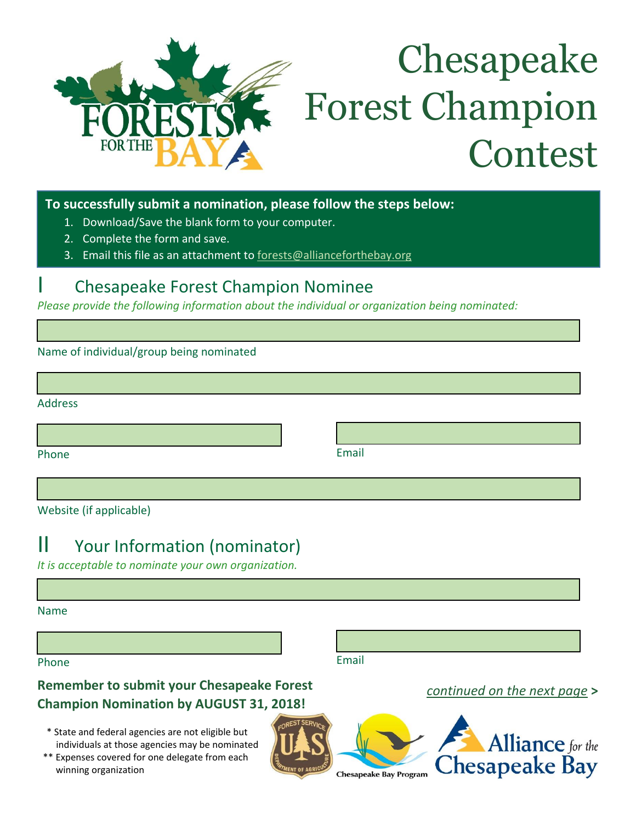

# Chesapeake Forest Champion Contest

**To successfully submit a nomination, please follow the steps below:**

- 1. Download/Save the blank form to your computer.
- 2. Complete the form and save.
- 3. Email this file as an attachment to [forests@allianceforthebay.org](mailto:Chesapeake.IYOF@gmail.com)

### I Chesapeake Forest Champion Nominee

*Please provide the following information about the individual or organization being nominated:* 

Name of individual/group being nominated

| <b>Address</b> |  |  |
|----------------|--|--|
|                |  |  |

Phone **Email** 

Website (if applicable)

## II Your Information (nominator)

*It is acceptable to nominate your own organization.* 

Name

Phone

Email

**Remember to submit your Chesapeake Forest Champion Nomination by AUGUST 31, 2018!**

- \* State and federal agencies are not eligible but individuals at those agencies may be nominated
- j \*\* Expenses covered for one delegate from each winning organization







*continued on the next page* **>**